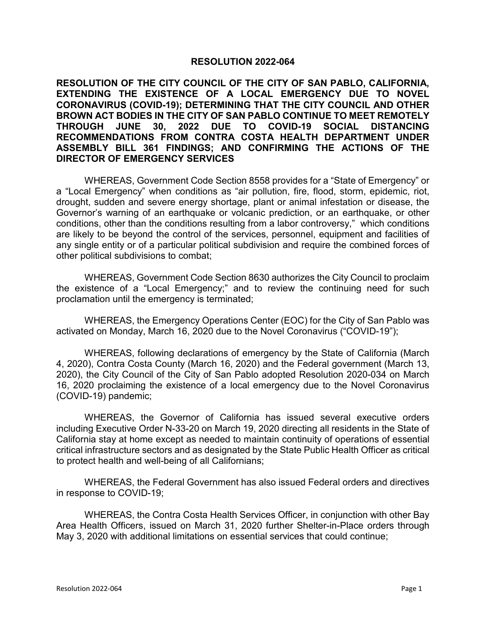## **RESOLUTION 2022-064**

**RESOLUTION OF THE CITY COUNCIL OF THE CITY OF SAN PABLO, CALIFORNIA, EXTENDING THE EXISTENCE OF A LOCAL EMERGENCY DUE TO NOVEL CORONAVIRUS (COVID-19); DETERMINING THAT THE CITY COUNCIL AND OTHER BROWN ACT BODIES IN THE CITY OF SAN PABLO CONTINUE TO MEET REMOTELY THROUGH JUNE 30, 2022 DUE TO COVID-19 SOCIAL DISTANCING RECOMMENDATIONS FROM CONTRA COSTA HEALTH DEPARTMENT UNDER ASSEMBLY BILL 361 FINDINGS; AND CONFIRMING THE ACTIONS OF THE DIRECTOR OF EMERGENCY SERVICES**

WHEREAS, Government Code Section 8558 provides for a "State of Emergency" or a "Local Emergency" when conditions as "air pollution, fire, flood, storm, epidemic, riot, drought, sudden and severe energy shortage, plant or animal infestation or disease, the Governor's warning of an earthquake or volcanic prediction, or an earthquake, or other conditions, other than the conditions resulting from a labor controversy," which conditions are likely to be beyond the control of the services, personnel, equipment and facilities of any single entity or of a particular political subdivision and require the combined forces of other political subdivisions to combat;

WHEREAS, Government Code Section 8630 authorizes the City Council to proclaim the existence of a "Local Emergency;" and to review the continuing need for such proclamation until the emergency is terminated;

WHEREAS, the Emergency Operations Center (EOC) for the City of San Pablo was activated on Monday, March 16, 2020 due to the Novel Coronavirus ("COVID-19");

WHEREAS, following declarations of emergency by the State of California (March 4, 2020), Contra Costa County (March 16, 2020) and the Federal government (March 13, 2020), the City Council of the City of San Pablo adopted Resolution 2020-034 on March 16, 2020 proclaiming the existence of a local emergency due to the Novel Coronavirus (COVID-19) pandemic;

WHEREAS, the Governor of California has issued several executive orders including Executive Order N-33-20 on March 19, 2020 directing all residents in the State of California stay at home except as needed to maintain continuity of operations of essential critical infrastructure sectors and as designated by the State Public Health Officer as critical to protect health and well-being of all Californians;

WHEREAS, the Federal Government has also issued Federal orders and directives in response to COVID-19;

WHEREAS, the Contra Costa Health Services Officer, in conjunction with other Bay Area Health Officers, issued on March 31, 2020 further Shelter-in-Place orders through May 3, 2020 with additional limitations on essential services that could continue;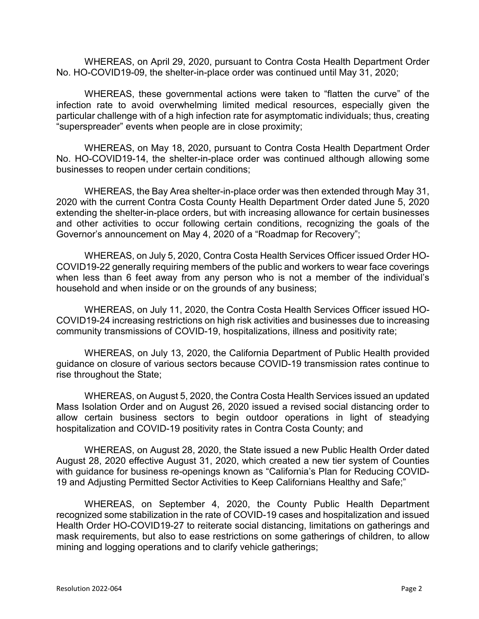WHEREAS, on April 29, 2020, pursuant to Contra Costa Health Department Order No. HO-COVID19-09, the shelter-in-place order was continued until May 31, 2020;

WHEREAS, these governmental actions were taken to "flatten the curve" of the infection rate to avoid overwhelming limited medical resources, especially given the particular challenge with of a high infection rate for asymptomatic individuals; thus, creating "superspreader" events when people are in close proximity;

WHEREAS, on May 18, 2020, pursuant to Contra Costa Health Department Order No. HO-COVID19-14, the shelter-in-place order was continued although allowing some businesses to reopen under certain conditions;

WHEREAS, the Bay Area shelter-in-place order was then extended through May 31, 2020 with the current Contra Costa County Health Department Order dated June 5, 2020 extending the shelter-in-place orders, but with increasing allowance for certain businesses and other activities to occur following certain conditions, recognizing the goals of the Governor's announcement on May 4, 2020 of a "Roadmap for Recovery";

WHEREAS, on July 5, 2020, Contra Costa Health Services Officer issued Order HO-COVID19-22 generally requiring members of the public and workers to wear face coverings when less than 6 feet away from any person who is not a member of the individual's household and when inside or on the grounds of any business;

WHEREAS, on July 11, 2020, the Contra Costa Health Services Officer issued HO-COVID19-24 increasing restrictions on high risk activities and businesses due to increasing community transmissions of COVID-19, hospitalizations, illness and positivity rate;

WHEREAS, on July 13, 2020, the California Department of Public Health provided guidance on closure of various sectors because COVID-19 transmission rates continue to rise throughout the State;

WHEREAS, on August 5, 2020, the Contra Costa Health Services issued an updated Mass Isolation Order and on August 26, 2020 issued a revised social distancing order to allow certain business sectors to begin outdoor operations in light of steadying hospitalization and COVID-19 positivity rates in Contra Costa County; and

WHEREAS, on August 28, 2020, the State issued a new Public Health Order dated August 28, 2020 effective August 31, 2020, which created a new tier system of Counties with guidance for business re-openings known as "California's Plan for Reducing COVID-19 and Adjusting Permitted Sector Activities to Keep Californians Healthy and Safe;"

WHEREAS, on September 4, 2020, the County Public Health Department recognized some stabilization in the rate of COVID-19 cases and hospitalization and issued Health Order HO-COVID19-27 to reiterate social distancing, limitations on gatherings and mask requirements, but also to ease restrictions on some gatherings of children, to allow mining and logging operations and to clarify vehicle gatherings;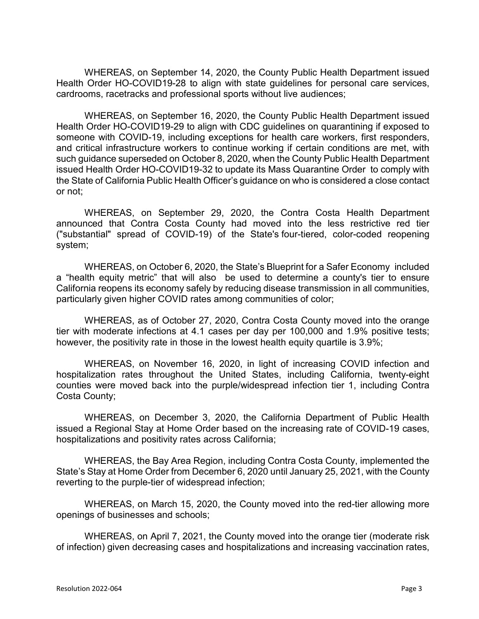WHEREAS, on September 14, 2020, the County Public Health Department issued Health Order HO-COVID19-28 to align with state guidelines for personal care services, cardrooms, racetracks and professional sports without live audiences;

WHEREAS, on September 16, 2020, the County Public Health Department issued Health Order HO-COVID19-29 to align with CDC guidelines on quarantining if exposed to someone with COVID-19, including exceptions for health care workers, first responders, and critical infrastructure workers to continue working if certain conditions are met, with such guidance superseded on October 8, 2020, when the County Public Health Department issued Health Order HO-COVID19-32 to update its Mass Quarantine Order to comply with the State of California Public Health Officer's guidance on who is considered a close contact or not;

WHEREAS, on September 29, 2020, the Contra Costa Health Department announced that Contra Costa County had moved into the less restrictive red tier ("substantial" spread of COVID-19) of the State's [four-tiered, color-coded reopening](https://covid19.ca.gov/safer-economy/)  [system;](https://covid19.ca.gov/safer-economy/)

WHEREAS, on October 6, 2020, the State's [Blueprint for a Safer Economy](https://www.cdph.ca.gov/Programs/CID/DCDC/Pages/COVID-19/COVID19CountyMonitoringOverview.aspx) included a "health equity metric" that will also be used to determine a county's tier to ensure California reopens its economy safely by reducing disease transmission in all communities, particularly given higher COVID rates among communities of color;

WHEREAS, as of October 27, 2020, Contra Costa County moved into the orange tier with moderate infections at 4.1 cases per day per 100,000 and 1.9% positive tests; however, the positivity rate in those in the lowest health equity quartile is 3.9%;

WHEREAS, on November 16, 2020, in light of increasing COVID infection and hospitalization rates throughout the United States, including California, twenty-eight counties were moved back into the purple/widespread infection tier 1, including Contra Costa County;

WHEREAS, on December 3, 2020, the California Department of Public Health issued a Regional Stay at Home Order based on the increasing rate of COVID-19 cases, hospitalizations and positivity rates across California;

WHEREAS, the Bay Area Region, including Contra Costa County, implemented the State's Stay at Home Order from December 6, 2020 until January 25, 2021, with the County reverting to the purple-tier of widespread infection;

WHEREAS, on March 15, 2020, the County moved into the red-tier allowing more openings of businesses and schools;

WHEREAS, on April 7, 2021, the County moved into the orange tier (moderate risk of infection) given decreasing cases and hospitalizations and increasing vaccination rates,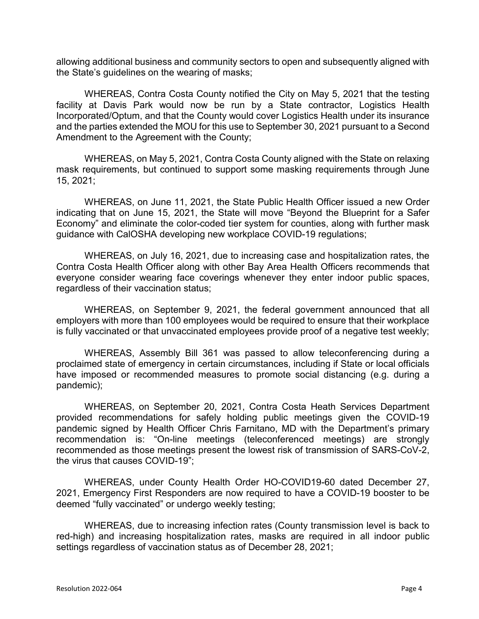allowing additional business and community sectors to open and subsequently aligned with the State's guidelines on the wearing of masks;

WHEREAS, Contra Costa County notified the City on May 5, 2021 that the testing facility at Davis Park would now be run by a State contractor, Logistics Health Incorporated/Optum, and that the County would cover Logistics Health under its insurance and the parties extended the MOU for this use to September 30, 2021 pursuant to a Second Amendment to the Agreement with the County;

WHEREAS, on May 5, 2021, Contra Costa County aligned with the State on relaxing mask requirements, but continued to support some masking requirements through June 15, 2021;

WHEREAS, on June 11, 2021, the State Public Health Officer issued a new Order indicating that on June 15, 2021, the State will move "Beyond the Blueprint for a Safer Economy" and eliminate the color-coded tier system for counties, along with further mask guidance with CalOSHA developing new workplace COVID-19 regulations;

WHEREAS, on July 16, 2021, due to increasing case and hospitalization rates, the Contra Costa Health Officer along with other Bay Area Health Officers recommends that everyone consider wearing face coverings whenever they enter indoor public spaces, regardless of their vaccination status;

WHEREAS, on September 9, 2021, the federal government announced that all employers with more than 100 employees would be required to ensure that their workplace is fully vaccinated or that unvaccinated employees provide proof of a negative test weekly;

WHEREAS, Assembly Bill 361 was passed to allow teleconferencing during a proclaimed state of emergency in certain circumstances, including if State or local officials have imposed or recommended measures to promote social distancing (e.g. during a pandemic);

WHEREAS, on September 20, 2021, Contra Costa Heath Services Department provided recommendations for safely holding public meetings given the COVID-19 pandemic signed by Health Officer Chris Farnitano, MD with the Department's primary recommendation is: "On-line meetings (teleconferenced meetings) are strongly recommended as those meetings present the lowest risk of transmission of SARS-CoV-2, the virus that causes COVID-19";

WHEREAS, under County Health Order HO-COVID19-60 dated December 27, 2021, Emergency First Responders are now required to have a COVID-19 booster to be deemed "fully vaccinated" or undergo weekly testing;

WHEREAS, due to increasing infection rates (County transmission level is back to red-high) and increasing hospitalization rates, masks are required in all indoor public settings regardless of vaccination status as of December 28, 2021;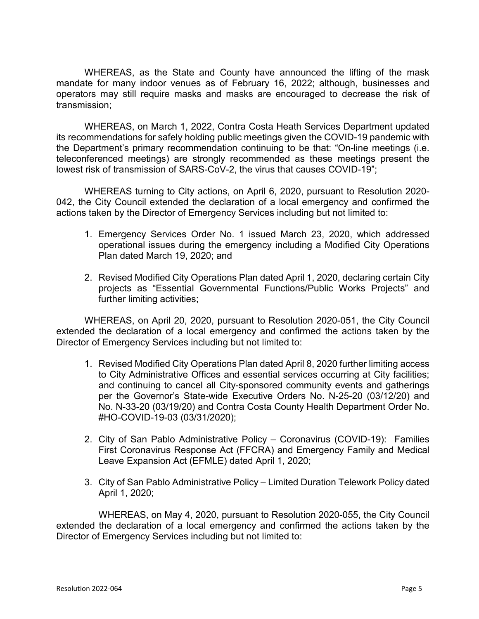WHEREAS, as the State and County have announced the lifting of the mask mandate for many indoor venues as of February 16, 2022; although, businesses and operators may still require masks and masks are encouraged to decrease the risk of transmission;

WHEREAS, on March 1, 2022, Contra Costa Heath Services Department updated its recommendations for safely holding public meetings given the COVID-19 pandemic with the Department's primary recommendation continuing to be that: "On-line meetings (i.e. teleconferenced meetings) are strongly recommended as these meetings present the lowest risk of transmission of SARS-CoV-2, the virus that causes COVID-19";

WHEREAS turning to City actions, on April 6, 2020, pursuant to Resolution 2020- 042, the City Council extended the declaration of a local emergency and confirmed the actions taken by the Director of Emergency Services including but not limited to:

- 1. Emergency Services Order No. 1 issued March 23, 2020, which addressed operational issues during the emergency including a Modified City Operations Plan dated March 19, 2020; and
- 2. Revised Modified City Operations Plan dated April 1, 2020, declaring certain City projects as "Essential Governmental Functions/Public Works Projects" and further limiting activities;

WHEREAS, on April 20, 2020, pursuant to Resolution 2020-051, the City Council extended the declaration of a local emergency and confirmed the actions taken by the Director of Emergency Services including but not limited to:

- 1. Revised Modified City Operations Plan dated April 8, 2020 further limiting access to City Administrative Offices and essential services occurring at City facilities; and continuing to cancel all City-sponsored community events and gatherings per the Governor's State-wide Executive Orders No. N-25-20 (03/12/20) and No. N-33-20 (03/19/20) and Contra Costa County Health Department Order No. #HO-COVID-19-03 (03/31/2020);
- 2. City of San Pablo Administrative Policy Coronavirus (COVID-19): Families First Coronavirus Response Act (FFCRA) and Emergency Family and Medical Leave Expansion Act (EFMLE) dated April 1, 2020;
- 3. City of San Pablo Administrative Policy Limited Duration Telework Policy dated April 1, 2020;

WHEREAS, on May 4, 2020, pursuant to Resolution 2020-055, the City Council extended the declaration of a local emergency and confirmed the actions taken by the Director of Emergency Services including but not limited to: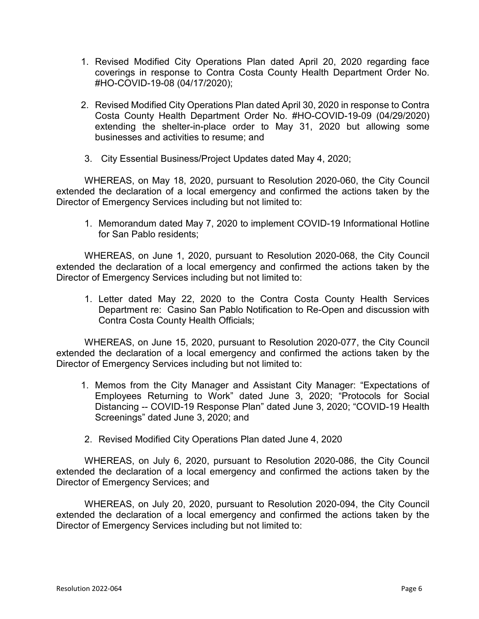- 1. Revised Modified City Operations Plan dated April 20, 2020 regarding face coverings in response to Contra Costa County Health Department Order No. #HO-COVID-19-08 (04/17/2020);
- 2. Revised Modified City Operations Plan dated April 30, 2020 in response to Contra Costa County Health Department Order No. #HO-COVID-19-09 (04/29/2020) extending the shelter-in-place order to May 31, 2020 but allowing some businesses and activities to resume; and
- 3. City Essential Business/Project Updates dated May 4, 2020;

WHEREAS, on May 18, 2020, pursuant to Resolution 2020-060, the City Council extended the declaration of a local emergency and confirmed the actions taken by the Director of Emergency Services including but not limited to:

1. Memorandum dated May 7, 2020 to implement COVID-19 Informational Hotline for San Pablo residents;

WHEREAS, on June 1, 2020, pursuant to Resolution 2020-068, the City Council extended the declaration of a local emergency and confirmed the actions taken by the Director of Emergency Services including but not limited to:

1. Letter dated May 22, 2020 to the Contra Costa County Health Services Department re: Casino San Pablo Notification to Re-Open and discussion with Contra Costa County Health Officials;

WHEREAS, on June 15, 2020, pursuant to Resolution 2020-077, the City Council extended the declaration of a local emergency and confirmed the actions taken by the Director of Emergency Services including but not limited to:

- 1. Memos from the City Manager and Assistant City Manager: "Expectations of Employees Returning to Work" dated June 3, 2020; "Protocols for Social Distancing -- COVID-19 Response Plan" dated June 3, 2020; "COVID-19 Health Screenings" dated June 3, 2020; and
- 2. Revised Modified City Operations Plan dated June 4, 2020

WHEREAS, on July 6, 2020, pursuant to Resolution 2020-086, the City Council extended the declaration of a local emergency and confirmed the actions taken by the Director of Emergency Services; and

WHEREAS, on July 20, 2020, pursuant to Resolution 2020-094, the City Council extended the declaration of a local emergency and confirmed the actions taken by the Director of Emergency Services including but not limited to: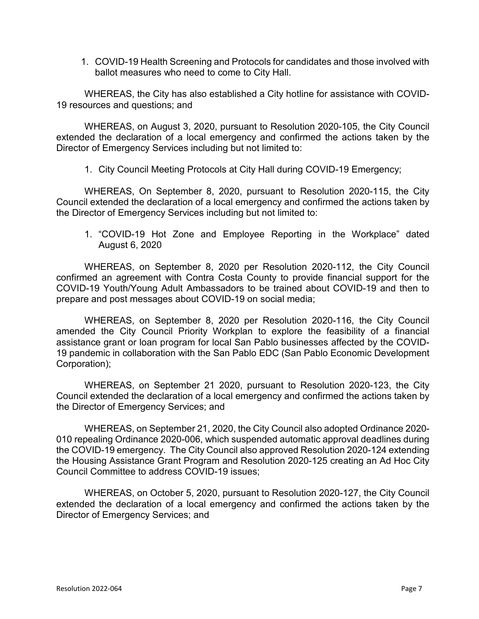1. COVID-19 Health Screening and Protocols for candidates and those involved with ballot measures who need to come to City Hall.

WHEREAS, the City has also established a City hotline for assistance with COVID-19 resources and questions; and

WHEREAS, on August 3, 2020, pursuant to Resolution 2020-105, the City Council extended the declaration of a local emergency and confirmed the actions taken by the Director of Emergency Services including but not limited to:

1. City Council Meeting Protocols at City Hall during COVID-19 Emergency;

WHEREAS, On September 8, 2020, pursuant to Resolution 2020-115, the City Council extended the declaration of a local emergency and confirmed the actions taken by the Director of Emergency Services including but not limited to:

1. "COVID-19 Hot Zone and Employee Reporting in the Workplace" dated August 6, 2020

WHEREAS, on September 8, 2020 per Resolution 2020-112, the City Council confirmed an agreement with Contra Costa County to provide financial support for the COVID-19 Youth/Young Adult Ambassadors to be trained about COVID-19 and then to prepare and post messages about COVID-19 on social media;

WHEREAS, on September 8, 2020 per Resolution 2020-116, the City Council amended the City Council Priority Workplan to explore the feasibility of a financial assistance grant or loan program for local San Pablo businesses affected by the COVID-19 pandemic in collaboration with the San Pablo EDC (San Pablo Economic Development Corporation);

WHEREAS, on September 21 2020, pursuant to Resolution 2020-123, the City Council extended the declaration of a local emergency and confirmed the actions taken by the Director of Emergency Services; and

WHEREAS, on September 21, 2020, the City Council also adopted Ordinance 2020- 010 repealing Ordinance 2020-006, which suspended automatic approval deadlines during the COVID-19 emergency. The City Council also approved Resolution 2020-124 extending the Housing Assistance Grant Program and Resolution 2020-125 creating an Ad Hoc City Council Committee to address COVID-19 issues;

WHEREAS, on October 5, 2020, pursuant to Resolution 2020-127, the City Council extended the declaration of a local emergency and confirmed the actions taken by the Director of Emergency Services; and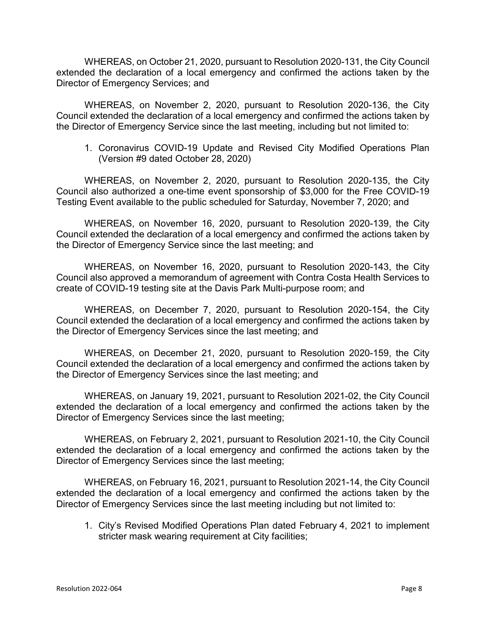WHEREAS, on October 21, 2020, pursuant to Resolution 2020-131, the City Council extended the declaration of a local emergency and confirmed the actions taken by the Director of Emergency Services; and

WHEREAS, on November 2, 2020, pursuant to Resolution 2020-136, the City Council extended the declaration of a local emergency and confirmed the actions taken by the Director of Emergency Service since the last meeting, including but not limited to:

1. Coronavirus COVID-19 Update and Revised City Modified Operations Plan (Version #9 dated October 28, 2020)

WHEREAS, on November 2, 2020, pursuant to Resolution 2020-135, the City Council also authorized a one-time event sponsorship of \$3,000 for the Free COVID-19 Testing Event available to the public scheduled for Saturday, November 7, 2020; and

WHEREAS, on November 16, 2020, pursuant to Resolution 2020-139, the City Council extended the declaration of a local emergency and confirmed the actions taken by the Director of Emergency Service since the last meeting; and

WHEREAS, on November 16, 2020, pursuant to Resolution 2020-143, the City Council also approved a memorandum of agreement with Contra Costa Health Services to create of COVID-19 testing site at the Davis Park Multi-purpose room; and

WHEREAS, on December 7, 2020, pursuant to Resolution 2020-154, the City Council extended the declaration of a local emergency and confirmed the actions taken by the Director of Emergency Services since the last meeting; and

WHEREAS, on December 21, 2020, pursuant to Resolution 2020-159, the City Council extended the declaration of a local emergency and confirmed the actions taken by the Director of Emergency Services since the last meeting; and

WHEREAS, on January 19, 2021, pursuant to Resolution 2021-02, the City Council extended the declaration of a local emergency and confirmed the actions taken by the Director of Emergency Services since the last meeting;

WHEREAS, on February 2, 2021, pursuant to Resolution 2021-10, the City Council extended the declaration of a local emergency and confirmed the actions taken by the Director of Emergency Services since the last meeting;

WHEREAS, on February 16, 2021, pursuant to Resolution 2021-14, the City Council extended the declaration of a local emergency and confirmed the actions taken by the Director of Emergency Services since the last meeting including but not limited to:

1. City's Revised Modified Operations Plan dated February 4, 2021 to implement stricter mask wearing requirement at City facilities;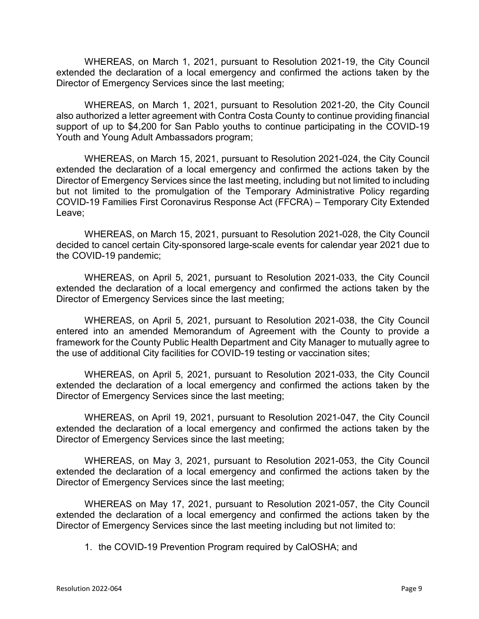WHEREAS, on March 1, 2021, pursuant to Resolution 2021-19, the City Council extended the declaration of a local emergency and confirmed the actions taken by the Director of Emergency Services since the last meeting;

WHEREAS, on March 1, 2021, pursuant to Resolution 2021-20, the City Council also authorized a letter agreement with Contra Costa County to continue providing financial support of up to \$4,200 for San Pablo youths to continue participating in the COVID-19 Youth and Young Adult Ambassadors program;

WHEREAS, on March 15, 2021, pursuant to Resolution 2021-024, the City Council extended the declaration of a local emergency and confirmed the actions taken by the Director of Emergency Services since the last meeting, including but not limited to including but not limited to the promulgation of the Temporary Administrative Policy regarding COVID-19 Families First Coronavirus Response Act (FFCRA) – Temporary City Extended Leave;

WHEREAS, on March 15, 2021, pursuant to Resolution 2021-028, the City Council decided to cancel certain City-sponsored large-scale events for calendar year 2021 due to the COVID-19 pandemic;

WHEREAS, on April 5, 2021, pursuant to Resolution 2021-033, the City Council extended the declaration of a local emergency and confirmed the actions taken by the Director of Emergency Services since the last meeting;

WHEREAS, on April 5, 2021, pursuant to Resolution 2021-038, the City Council entered into an amended Memorandum of Agreement with the County to provide a framework for the County Public Health Department and City Manager to mutually agree to the use of additional City facilities for COVID-19 testing or vaccination sites;

WHEREAS, on April 5, 2021, pursuant to Resolution 2021-033, the City Council extended the declaration of a local emergency and confirmed the actions taken by the Director of Emergency Services since the last meeting;

WHEREAS, on April 19, 2021, pursuant to Resolution 2021-047, the City Council extended the declaration of a local emergency and confirmed the actions taken by the Director of Emergency Services since the last meeting;

WHEREAS, on May 3, 2021, pursuant to Resolution 2021-053, the City Council extended the declaration of a local emergency and confirmed the actions taken by the Director of Emergency Services since the last meeting;

WHEREAS on May 17, 2021, pursuant to Resolution 2021-057, the City Council extended the declaration of a local emergency and confirmed the actions taken by the Director of Emergency Services since the last meeting including but not limited to:

1. the COVID-19 Prevention Program required by CalOSHA; and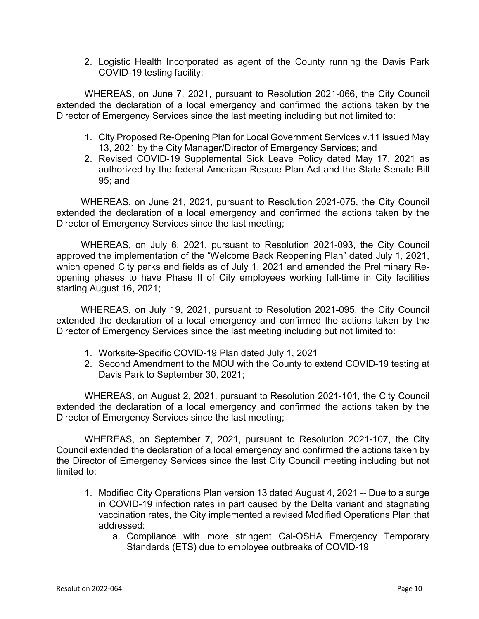2. Logistic Health Incorporated as agent of the County running the Davis Park COVID-19 testing facility;

WHEREAS, on June 7, 2021, pursuant to Resolution 2021-066, the City Council extended the declaration of a local emergency and confirmed the actions taken by the Director of Emergency Services since the last meeting including but not limited to:

- 1. City Proposed Re-Opening Plan for Local Government Services v.11 issued May 13, 2021 by the City Manager/Director of Emergency Services; and
- 2. Revised COVID-19 Supplemental Sick Leave Policy dated May 17, 2021 as authorized by the federal American Rescue Plan Act and the State Senate Bill 95; and

WHEREAS, on June 21, 2021, pursuant to Resolution 2021-075, the City Council extended the declaration of a local emergency and confirmed the actions taken by the Director of Emergency Services since the last meeting;

WHEREAS, on July 6, 2021, pursuant to Resolution 2021-093, the City Council approved the implementation of the "Welcome Back Reopening Plan" dated July 1, 2021, which opened City parks and fields as of July 1, 2021 and amended the Preliminary Reopening phases to have Phase II of City employees working full-time in City facilities starting August 16, 2021;

WHEREAS, on July 19, 2021, pursuant to Resolution 2021-095, the City Council extended the declaration of a local emergency and confirmed the actions taken by the Director of Emergency Services since the last meeting including but not limited to:

- 1. Worksite-Specific COVID-19 Plan dated July 1, 2021
- 2. Second Amendment to the MOU with the County to extend COVID-19 testing at Davis Park to September 30, 2021;

WHEREAS, on August 2, 2021, pursuant to Resolution 2021-101, the City Council extended the declaration of a local emergency and confirmed the actions taken by the Director of Emergency Services since the last meeting;

WHEREAS, on September 7, 2021, pursuant to Resolution 2021-107, the City Council extended the declaration of a local emergency and confirmed the actions taken by the Director of Emergency Services since the last City Council meeting including but not limited to:

- 1. Modified City Operations Plan version 13 dated August 4, 2021 -- Due to a surge in COVID-19 infection rates in part caused by the Delta variant and stagnating vaccination rates, the City implemented a revised Modified Operations Plan that addressed:
	- a. Compliance with more stringent Cal-OSHA Emergency Temporary Standards (ETS) due to employee outbreaks of COVID-19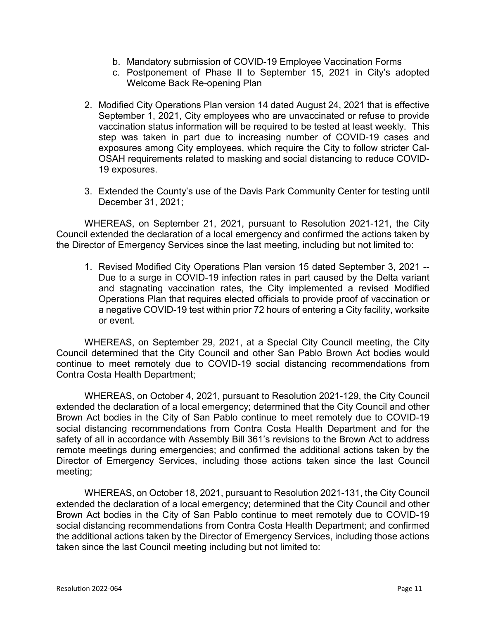- b. Mandatory submission of COVID-19 Employee Vaccination Forms
- c. Postponement of Phase II to September 15, 2021 in City's adopted Welcome Back Re-opening Plan
- 2. Modified City Operations Plan version 14 dated August 24, 2021 that is effective September 1, 2021, City employees who are unvaccinated or refuse to provide vaccination status information will be required to be tested at least weekly. This step was taken in part due to increasing number of COVID-19 cases and exposures among City employees, which require the City to follow stricter Cal-OSAH requirements related to masking and social distancing to reduce COVID-19 exposures.
- 3. Extended the County's use of the Davis Park Community Center for testing until December 31, 2021;

WHEREAS, on September 21, 2021, pursuant to Resolution 2021-121, the City Council extended the declaration of a local emergency and confirmed the actions taken by the Director of Emergency Services since the last meeting, including but not limited to:

1. Revised Modified City Operations Plan version 15 dated September 3, 2021 -- Due to a surge in COVID-19 infection rates in part caused by the Delta variant and stagnating vaccination rates, the City implemented a revised Modified Operations Plan that requires elected officials to provide proof of vaccination or a negative COVID-19 test within prior 72 hours of entering a City facility, worksite or event.

WHEREAS, on September 29, 2021, at a Special City Council meeting, the City Council determined that the City Council and other San Pablo Brown Act bodies would continue to meet remotely due to COVID-19 social distancing recommendations from Contra Costa Health Department;

WHEREAS, on October 4, 2021, pursuant to Resolution 2021-129, the City Council extended the declaration of a local emergency; determined that the City Council and other Brown Act bodies in the City of San Pablo continue to meet remotely due to COVID-19 social distancing recommendations from Contra Costa Health Department and for the safety of all in accordance with Assembly Bill 361's revisions to the Brown Act to address remote meetings during emergencies; and confirmed the additional actions taken by the Director of Emergency Services, including those actions taken since the last Council meeting;

WHEREAS, on October 18, 2021, pursuant to Resolution 2021-131, the City Council extended the declaration of a local emergency; determined that the City Council and other Brown Act bodies in the City of San Pablo continue to meet remotely due to COVID-19 social distancing recommendations from Contra Costa Health Department; and confirmed the additional actions taken by the Director of Emergency Services, including those actions taken since the last Council meeting including but not limited to: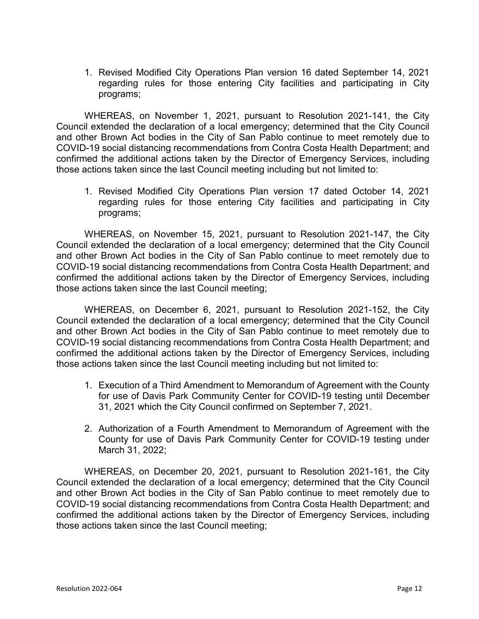1. Revised Modified City Operations Plan version 16 dated September 14, 2021 regarding rules for those entering City facilities and participating in City programs;

WHEREAS, on November 1, 2021, pursuant to Resolution 2021-141, the City Council extended the declaration of a local emergency; determined that the City Council and other Brown Act bodies in the City of San Pablo continue to meet remotely due to COVID-19 social distancing recommendations from Contra Costa Health Department; and confirmed the additional actions taken by the Director of Emergency Services, including those actions taken since the last Council meeting including but not limited to:

1. Revised Modified City Operations Plan version 17 dated October 14, 2021 regarding rules for those entering City facilities and participating in City programs;

WHEREAS, on November 15, 2021, pursuant to Resolution 2021-147, the City Council extended the declaration of a local emergency; determined that the City Council and other Brown Act bodies in the City of San Pablo continue to meet remotely due to COVID-19 social distancing recommendations from Contra Costa Health Department; and confirmed the additional actions taken by the Director of Emergency Services, including those actions taken since the last Council meeting;

WHEREAS, on December 6, 2021, pursuant to Resolution 2021-152, the City Council extended the declaration of a local emergency; determined that the City Council and other Brown Act bodies in the City of San Pablo continue to meet remotely due to COVID-19 social distancing recommendations from Contra Costa Health Department; and confirmed the additional actions taken by the Director of Emergency Services, including those actions taken since the last Council meeting including but not limited to:

- 1. Execution of a Third Amendment to Memorandum of Agreement with the County for use of Davis Park Community Center for COVID-19 testing until December 31, 2021 which the City Council confirmed on September 7, 2021.
- 2. Authorization of a Fourth Amendment to Memorandum of Agreement with the County for use of Davis Park Community Center for COVID-19 testing under March 31, 2022;

WHEREAS, on December 20, 2021, pursuant to Resolution 2021-161, the City Council extended the declaration of a local emergency; determined that the City Council and other Brown Act bodies in the City of San Pablo continue to meet remotely due to COVID-19 social distancing recommendations from Contra Costa Health Department; and confirmed the additional actions taken by the Director of Emergency Services, including those actions taken since the last Council meeting;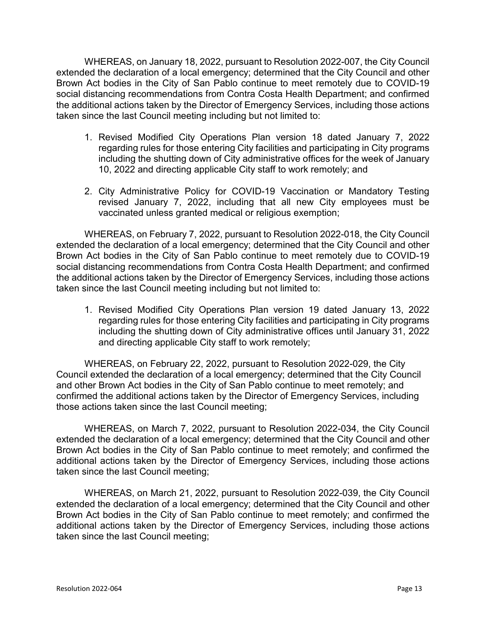WHEREAS, on January 18, 2022, pursuant to Resolution 2022-007, the City Council extended the declaration of a local emergency; determined that the City Council and other Brown Act bodies in the City of San Pablo continue to meet remotely due to COVID-19 social distancing recommendations from Contra Costa Health Department; and confirmed the additional actions taken by the Director of Emergency Services, including those actions taken since the last Council meeting including but not limited to:

- 1. Revised Modified City Operations Plan version 18 dated January 7, 2022 regarding rules for those entering City facilities and participating in City programs including the shutting down of City administrative offices for the week of January 10, 2022 and directing applicable City staff to work remotely; and
- 2. City Administrative Policy for COVID-19 Vaccination or Mandatory Testing revised January 7, 2022, including that all new City employees must be vaccinated unless granted medical or religious exemption;

WHEREAS, on February 7, 2022, pursuant to Resolution 2022-018, the City Council extended the declaration of a local emergency; determined that the City Council and other Brown Act bodies in the City of San Pablo continue to meet remotely due to COVID-19 social distancing recommendations from Contra Costa Health Department; and confirmed the additional actions taken by the Director of Emergency Services, including those actions taken since the last Council meeting including but not limited to:

1. Revised Modified City Operations Plan version 19 dated January 13, 2022 regarding rules for those entering City facilities and participating in City programs including the shutting down of City administrative offices until January 31, 2022 and directing applicable City staff to work remotely;

WHEREAS, on February 22, 2022, pursuant to Resolution 2022-029, the City Council extended the declaration of a local emergency; determined that the City Council and other Brown Act bodies in the City of San Pablo continue to meet remotely; and confirmed the additional actions taken by the Director of Emergency Services, including those actions taken since the last Council meeting;

WHEREAS, on March 7, 2022, pursuant to Resolution 2022-034, the City Council extended the declaration of a local emergency; determined that the City Council and other Brown Act bodies in the City of San Pablo continue to meet remotely; and confirmed the additional actions taken by the Director of Emergency Services, including those actions taken since the last Council meeting;

WHEREAS, on March 21, 2022, pursuant to Resolution 2022-039, the City Council extended the declaration of a local emergency; determined that the City Council and other Brown Act bodies in the City of San Pablo continue to meet remotely; and confirmed the additional actions taken by the Director of Emergency Services, including those actions taken since the last Council meeting;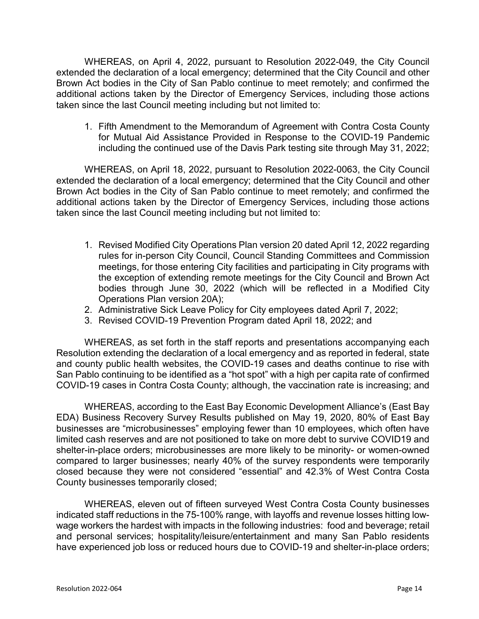WHEREAS, on April 4, 2022, pursuant to Resolution 2022-049, the City Council extended the declaration of a local emergency; determined that the City Council and other Brown Act bodies in the City of San Pablo continue to meet remotely; and confirmed the additional actions taken by the Director of Emergency Services, including those actions taken since the last Council meeting including but not limited to:

1. Fifth Amendment to the Memorandum of Agreement with Contra Costa County for Mutual Aid Assistance Provided in Response to the COVID-19 Pandemic including the continued use of the Davis Park testing site through May 31, 2022;

WHEREAS, on April 18, 2022, pursuant to Resolution 2022-0063, the City Council extended the declaration of a local emergency; determined that the City Council and other Brown Act bodies in the City of San Pablo continue to meet remotely; and confirmed the additional actions taken by the Director of Emergency Services, including those actions taken since the last Council meeting including but not limited to:

- 1. Revised Modified City Operations Plan version 20 dated April 12, 2022 regarding rules for in-person City Council, Council Standing Committees and Commission meetings, for those entering City facilities and participating in City programs with the exception of extending remote meetings for the City Council and Brown Act bodies through June 30, 2022 (which will be reflected in a Modified City Operations Plan version 20A);
- 2. Administrative Sick Leave Policy for City employees dated April 7, 2022;
- 3. Revised COVID-19 Prevention Program dated April 18, 2022; and

WHEREAS, as set forth in the staff reports and presentations accompanying each Resolution extending the declaration of a local emergency and as reported in federal, state and county public health websites, the COVID-19 cases and deaths continue to rise with San Pablo continuing to be identified as a "hot spot" with a high per capita rate of confirmed COVID-19 cases in Contra Costa County; although, the vaccination rate is increasing; and

WHEREAS, according to the East Bay Economic Development Alliance's (East Bay EDA) Business Recovery Survey Results published on May 19, 2020, 80% of East Bay businesses are "microbusinesses" employing fewer than 10 employees, which often have limited cash reserves and are not positioned to take on more debt to survive COVID19 and shelter-in-place orders; microbusinesses are more likely to be minority- or women-owned compared to larger businesses; nearly 40% of the survey respondents were temporarily closed because they were not considered "essential" and 42.3% of West Contra Costa County businesses temporarily closed;

WHEREAS, eleven out of fifteen surveyed West Contra Costa County businesses indicated staff reductions in the 75-100% range, with layoffs and revenue losses hitting lowwage workers the hardest with impacts in the following industries: food and beverage; retail and personal services; hospitality/leisure/entertainment and many San Pablo residents have experienced job loss or reduced hours due to COVID-19 and shelter-in-place orders;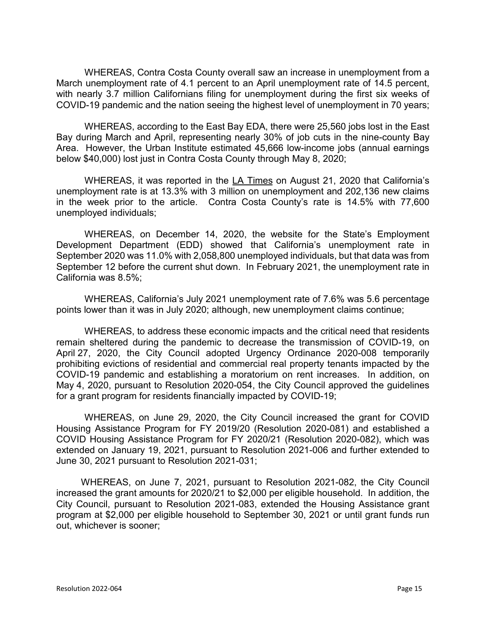WHEREAS, Contra Costa County overall saw an increase in unemployment from a March unemployment rate of 4.1 percent to an April unemployment rate of 14.5 percent, with nearly 3.7 million Californians filing for unemployment during the first six weeks of COVID-19 pandemic and the nation seeing the highest level of unemployment in 70 years;

WHEREAS, according to the East Bay EDA, there were 25,560 jobs lost in the East Bay during March and April, representing nearly 30% of job cuts in the nine-county Bay Area. However, the Urban Institute estimated 45,666 low-income jobs (annual earnings below \$40,000) lost just in Contra Costa County through May 8, 2020;

WHEREAS, it was reported in the LA Times on August 21, 2020 that California's unemployment rate is at 13.3% with 3 million on unemployment and 202,136 new claims in the week prior to the article. Contra Costa County's rate is 14.5% with 77,600 unemployed individuals;

WHEREAS, on December 14, 2020, the website for the State's Employment Development Department (EDD) showed that California's unemployment rate in September 2020 was 11.0% with 2,058,800 unemployed individuals, but that data was from September 12 before the current shut down. In February 2021, the unemployment rate in California was 8.5%;

WHEREAS, California's July 2021 unemployment rate of 7.6% was 5.6 percentage points lower than it was in July 2020; although, new unemployment claims continue;

WHEREAS, to address these economic impacts and the critical need that residents remain sheltered during the pandemic to decrease the transmission of COVID-19, on April 27, 2020, the City Council adopted Urgency Ordinance 2020-008 temporarily prohibiting evictions of residential and commercial real property tenants impacted by the COVID-19 pandemic and establishing a moratorium on rent increases. In addition, on May 4, 2020, pursuant to Resolution 2020-054, the City Council approved the guidelines for a grant program for residents financially impacted by COVID-19;

WHEREAS, on June 29, 2020, the City Council increased the grant for COVID Housing Assistance Program for FY 2019/20 (Resolution 2020-081) and established a COVID Housing Assistance Program for FY 2020/21 (Resolution 2020-082), which was extended on January 19, 2021, pursuant to Resolution 2021-006 and further extended to June 30, 2021 pursuant to Resolution 2021-031;

WHEREAS, on June 7, 2021, pursuant to Resolution 2021-082, the City Council increased the grant amounts for 2020/21 to \$2,000 per eligible household. In addition, the City Council, pursuant to Resolution 2021-083, extended the Housing Assistance grant program at \$2,000 per eligible household to September 30, 2021 or until grant funds run out, whichever is sooner;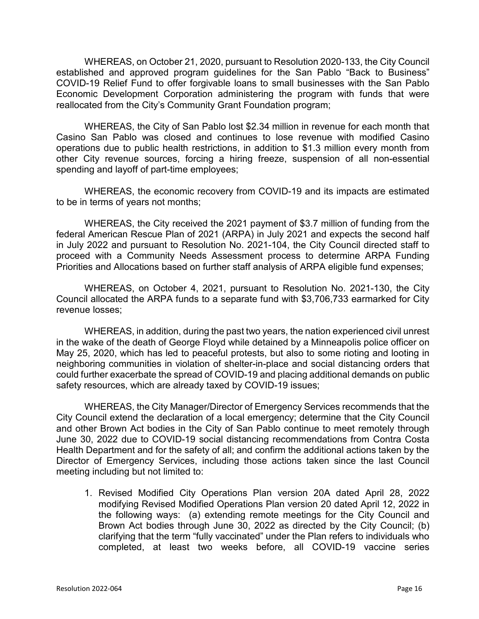WHEREAS, on October 21, 2020, pursuant to Resolution 2020-133, the City Council established and approved program guidelines for the San Pablo "Back to Business" COVID-19 Relief Fund to offer forgivable loans to small businesses with the San Pablo Economic Development Corporation administering the program with funds that were reallocated from the City's Community Grant Foundation program;

WHEREAS, the City of San Pablo lost \$2.34 million in revenue for each month that Casino San Pablo was closed and continues to lose revenue with modified Casino operations due to public health restrictions, in addition to \$1.3 million every month from other City revenue sources, forcing a hiring freeze, suspension of all non-essential spending and layoff of part-time employees;

WHEREAS, the economic recovery from COVID-19 and its impacts are estimated to be in terms of years not months;

WHEREAS, the City received the 2021 payment of \$3.7 million of funding from the federal American Rescue Plan of 2021 (ARPA) in July 2021 and expects the second half in July 2022 and pursuant to Resolution No. 2021-104, the City Council directed staff to proceed with a Community Needs Assessment process to determine ARPA Funding Priorities and Allocations based on further staff analysis of ARPA eligible fund expenses;

WHEREAS, on October 4, 2021, pursuant to Resolution No. 2021-130, the City Council allocated the ARPA funds to a separate fund with \$3,706,733 earmarked for City revenue losses;

WHEREAS, in addition, during the past two years, the nation experienced civil unrest in the wake of the death of George Floyd while detained by a Minneapolis police officer on May 25, 2020, which has led to peaceful protests, but also to some rioting and looting in neighboring communities in violation of shelter-in-place and social distancing orders that could further exacerbate the spread of COVID-19 and placing additional demands on public safety resources, which are already taxed by COVID-19 issues;

WHEREAS, the City Manager/Director of Emergency Services recommends that the City Council extend the declaration of a local emergency; determine that the City Council and other Brown Act bodies in the City of San Pablo continue to meet remotely through June 30, 2022 due to COVID-19 social distancing recommendations from Contra Costa Health Department and for the safety of all; and confirm the additional actions taken by the Director of Emergency Services, including those actions taken since the last Council meeting including but not limited to:

1. Revised Modified City Operations Plan version 20A dated April 28, 2022 modifying Revised Modified Operations Plan version 20 dated April 12, 2022 in the following ways: (a) extending remote meetings for the City Council and Brown Act bodies through June 30, 2022 as directed by the City Council; (b) clarifying that the term "fully vaccinated" under the Plan refers to individuals who completed, at least two weeks before, all COVID-19 vaccine series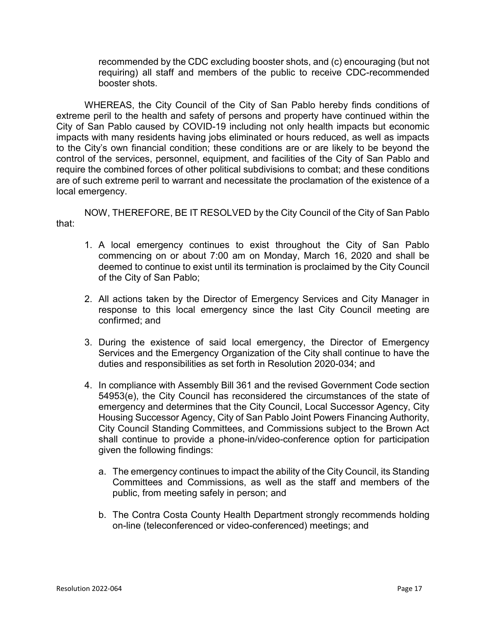recommended by the CDC excluding booster shots, and (c) encouraging (but not requiring) all staff and members of the public to receive CDC-recommended booster shots.

WHEREAS, the City Council of the City of San Pablo hereby finds conditions of extreme peril to the health and safety of persons and property have continued within the City of San Pablo caused by COVID-19 including not only health impacts but economic impacts with many residents having jobs eliminated or hours reduced, as well as impacts to the City's own financial condition; these conditions are or are likely to be beyond the control of the services, personnel, equipment, and facilities of the City of San Pablo and require the combined forces of other political subdivisions to combat; and these conditions are of such extreme peril to warrant and necessitate the proclamation of the existence of a local emergency.

NOW, THEREFORE, BE IT RESOLVED by the City Council of the City of San Pablo that:

- 1. A local emergency continues to exist throughout the City of San Pablo commencing on or about 7:00 am on Monday, March 16, 2020 and shall be deemed to continue to exist until its termination is proclaimed by the City Council of the City of San Pablo;
- 2. All actions taken by the Director of Emergency Services and City Manager in response to this local emergency since the last City Council meeting are confirmed; and
- 3. During the existence of said local emergency, the Director of Emergency Services and the Emergency Organization of the City shall continue to have the duties and responsibilities as set forth in Resolution 2020-034; and
- 4. In compliance with Assembly Bill 361 and the revised Government Code section 54953(e), the City Council has reconsidered the circumstances of the state of emergency and determines that the City Council, Local Successor Agency, City Housing Successor Agency, City of San Pablo Joint Powers Financing Authority, City Council Standing Committees, and Commissions subject to the Brown Act shall continue to provide a phone-in/video-conference option for participation given the following findings:
	- a. The emergency continues to impact the ability of the City Council, its Standing Committees and Commissions, as well as the staff and members of the public, from meeting safely in person; and
	- b. The Contra Costa County Health Department strongly recommends holding on-line (teleconferenced or video-conferenced) meetings; and